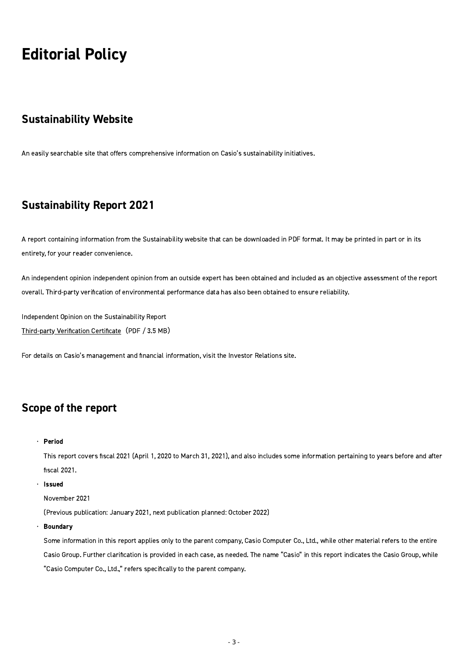# Editorial Policy

## Sustainability Website

An easily searchable site that offers comprehensive information on Casio's sustainability initiatives.

# Sustainability Report 2021

A report containing information from the Sustainability website that can be downloaded in PDF format. It may be printed in part or in its entirety, for your reader convenience.

An independent opinion independent opinion from an outside expert has been obtained and included as an objective assessment of the report overall. Third-party verification of environmental performance data has also been obtained to ensure reliability.

Independent Opinion on the Sustainability Report Third-party Verification Certificate (PDF / 3.5 MB)

For details on Casio's management and financial information, visit the Investor Relations site.

## Scope of the report

• Period

This report covers fiscal 2021 (April 1, 2020 to March 31, 2021), and also includes some information pertaining to years before and after fiscal 2021.

• Issued

November 2021

(Previous publication: January 2021, next publication planned: October 2022)

Boundary •

> Some information in this report applies only to the parent company, Casio Computer Co., Ltd., while other material refers to the entire Casio Group. Further clarification is provided in each case, as needed. The name "Casio" in this report indicates the Casio Group, while "Casio Computer Co., Ltd.," refers specifically to the parent company.